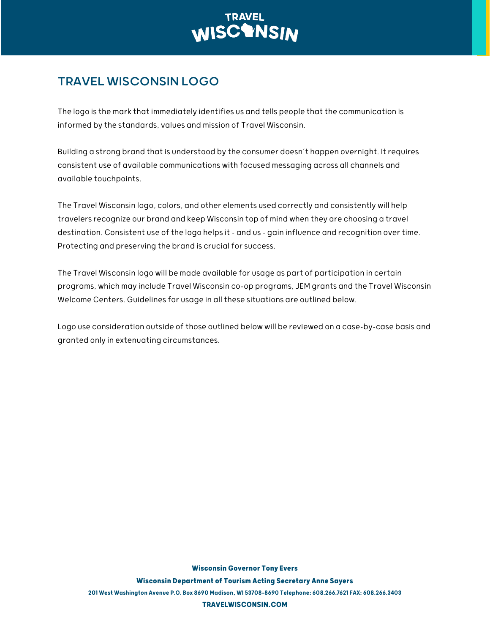## TRAVEL WISCONSIN LOGO

The logo is the mark thatimmediately identifies us and tells people that the communication is informed by the standards, values and mission of Travel Wisconsin.

Building a strong brand that is understood by the consumer doesn't happen overnight. Itrequires consistent use of available communications with focused messaging across all channels and available touchpoints.

The Travel Wisconsin logo, colors, and other elements used correctly and consistently will help travelers recognize our brand and keep Wisconsin top of mind when they are choosing a travel destination. Consistent use of the logo helps it – and us – gain influence and recognition over time. Protecting and preserving the brand is crucial for success.

The Travel Wisconsin logo will be made available for usage as part of participation in certain programs, which may include Travel Wisconsin co-op programs, JEM grants and the Travel Wisconsin Welcome Centers. Guidelines for usage in all these situations are outlined below.

Logo use consideration outside of those outlined below will be reviewed on a case-by-case basis and granted only in extenuating circumstances.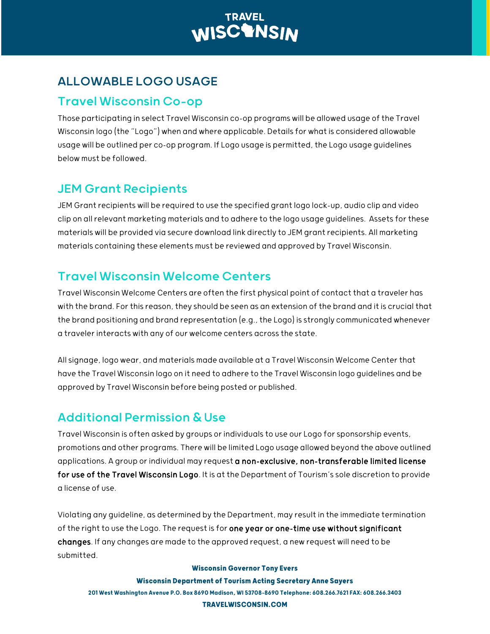

## ALLOWABLE LOGO USAGE

#### Travel Wisconsin Co-op

Those participating in select Travel Wisconsin co-op programs will be allowed usage of the Travel Wisconsin logo (the "Logo") when and where applicable. Details for what is considered allowable usage will be outlined per co-op program. If Logo usage is permitted, the Logo usage guidelines below must be followed.

### JEM Grant Recipients

JEM Grant recipients will be required to use the specified grant logo lock-up, audio clip and video clip on all relevant marketing materials and to adhere to the logo usage guidelines. Assets for these materials will be provided via secure download link directly to JEM grant recipients. All marketing materials containing these elements must be reviewed and approved by Travel Wisconsin.

### Travel Wisconsin Welcome Centers

Travel Wisconsin Welcome Centers are often the first physical point of contact that a traveler has with the brand. For this reason, they should be seen as an extension of the brand and it is crucial that the brand positioning and brand representation (e.g., the Logo) is strongly communicated whenever a traveler interacts with any of our welcome centers across the state.

All signage, logo wear, and materials made available at a Travel Wisconsin Welcome Center that have the Travel Wisconsin logo on it need to adhere to the Travel Wisconsin logo guidelines and be approved by Travel Wisconsin before being posted or published.

### Additional Permission & Use

Travel Wisconsin is often asked by groups or individuals to use our Logo for sponsorship events, promotions and other programs. There will be limited Logo usage allowed beyond the above outlined applications. A group or individual may request a non-exclusive, non-transferable limited license for use of the Travel Wisconsin Logo. It is at the Department of Tourism'ssole discretion to provide a license of use.

Violating any guideline, as determined by the Department, may result in the immediate termination of the right to use the Logo. The request is for one year or one-time use without significant changes. If any changes are made to the approved request, a new request will need to be submitted.

#### **Wisconsin Governor Tony Evers**

**Wisconsin Department of Tourism Acting Secretary Anne Sayers** 201 West Washington Avenue P.O. Box 8690 Madison, WI 53708-8690 Telephone: 608.266.7621 FAX: 608.266.3403 **TRAVELWISCONSIN.COM**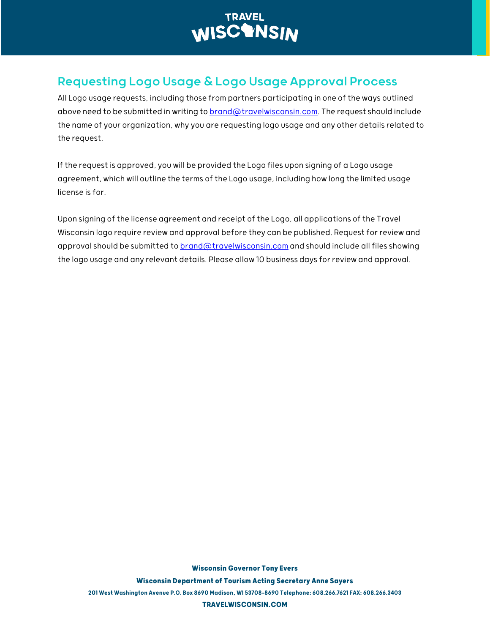

### Requesting Logo Usage & Logo Usage Approval Process

All Logo usage requests, including those from partners participating in one of the ways outlined above need to be submitted in writing to [brand@travelwisconsin.com.](mailto:brand@travelwisconsin.com) The request should include the name of your organization, why you are requesting logo usage and any other details related to the request.

If the request is approved, you will be provided the Logo files upon signing of a Logo usage agreement, which will outline the terms of the Logo usage, including how long the limited usage license is for.

Upon signing of the license agreement and receipt of the Logo, all applications of the Travel Wisconsin logo require review and approval before they can be published. Request for review and approval should be submitted to **brand@travelwisconsin.com** and should include all files showing the logo usage and any relevant details. Please allow 10 business days for review and approval.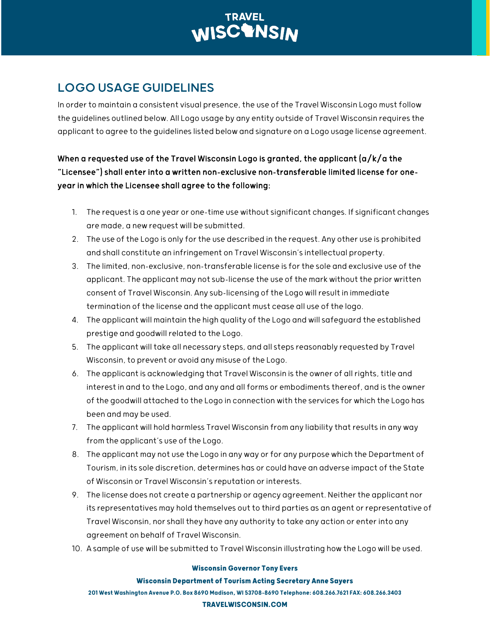### LOGO USAGE GUIDELINES

In order to maintain a consistent visual presence, the use of the Travel Wisconsin Logo must follow the guidelines outlined below. All Logo usage by any entity outside of Travel Wisconsin requires the applicant to agree to the guidelines listed below and signature on a Logo usage license agreement.

#### When a requested use of the Travel Wisconsin Logo is granted, the applicant  $\frac{a}{k/a}$  the "Licensee") shall enter into a written non-exclusive non-transferable limited license for oneyear in which the Licensee shall agree to the following:

- 1. The request is a one year or one-time use without significant changes. If significant changes are made, a new request will be submitted.
- 2. The use of the Logo is only for the use described in the request. Any other use is prohibited and shall constitute an infringement on Travel Wisconsin'sintellectual property.
- 3. The limited, non-exclusive, non-transferable license is for the sole and exclusive use of the applicant. The applicant may not sub-license the use of the mark without the prior written consent of Travel Wisconsin. Any sub-licensing of the Logo will result in immediate termination of the license and the applicant must cease all use of the logo.
- 4. The applicant will maintain the high quality of the Logo and will safeguard the established prestige and goodwill related to the Logo.
- 5. The applicant will take all necessary steps, and all steps reasonably requested by Travel Wisconsin, to prevent or avoid any misuse of the Logo.
- 6. The applicant is acknowledging that Travel Wisconsin is the owner of all rights, title and interest in and to the Logo, and any and all forms or embodiments thereof, and is the owner of the goodwill attached to the Logo in connection with the services for which the Logo has been and may be used.
- 7. The applicant will hold harmless Travel Wisconsin from any liability that results in any way from the applicant's use of the Logo.
- 8. The applicant may not use the Logo in any way or for any purpose which the Department of Tourism, in its sole discretion, determines has or could have an adverse impact of the State of Wisconsin or Travel Wisconsin's reputation or interests.
- 9. The license does not create a partnership or agency agreement. Neither the applicant nor its representatives may hold themselves out to third parties as an agent or representative of Travel Wisconsin, nor shall they have any authority to take any action or enter into any agreement on behalf of Travel Wisconsin.
- 10. A sample of use will be submitted to Travel Wisconsin illustrating how the Logo will be used.

#### **Wisconsin Governor Tony Evers**

#### **Wisconsin Department of Tourism Acting Secretary Anne Sayers**

201 West Washington Avenue P.O. Box 8690 Madison, WI 53708-8690 Telephone: 608.266.7621 FAX: 608.266.3403

#### **TRAVELWISCONSIN.COM**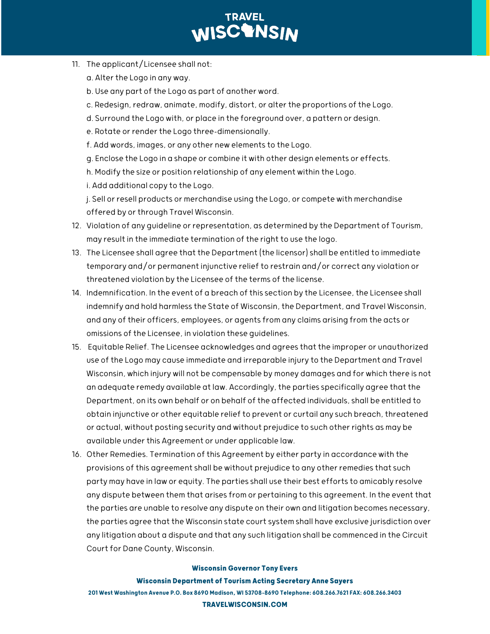- 11. The applicant/Licensee shall not:
	- a. Alter the Logo in any way.
	- b. Use any part of the Logo as part of another word.
	- c. Redesign, redraw, animate, modify, distort, or alter the proportions of the Logo.
	- d. Surround the Logo with, or place in the foreground over, a pattern or design.
	- e. Rotate or render the Logo three-dimensionally.
	- f. Add words, images, or any other new elements to the Logo.
	- g. Enclose the Logo in a shape or combine it with other design elements or effects.
	- h. Modify the size or position relationship of any element within the Logo.
	- i. Add additional copy to the Logo.

j. Sell or resell products or merchandise using the Logo, or compete with merchandise offered by or through Travel Wisconsin.

- 12. Violation of any guideline or representation, as determined by the Department of Tourism, may result in the immediate termination of the right to use the logo.
- 13. The Licensee shall agree that the Department (the licensor) shall be entitled to immediate temporary and/or permanent injunctive relief to restrain and/or correct any violation or threatened violation by the Licensee of the terms of the license.
- 14. Indemnification. In the event of a breach of this section by the Licensee, the Licensee shall indemnify and hold harmless the State of Wisconsin, the Department, and Travel Wisconsin, and any of their officers, employees, or agents from any claims arising from the acts or omissions of the Licensee, in violation these guidelines.
- 15. Equitable Relief. The Licensee acknowledges and agrees that the improper or unauthorized use of the Logo may cause immediate and irreparable injury to the Department and Travel Wisconsin, which injury will not be compensable by money damages and for which there is not an adequate remedy available at law. Accordingly, the parties specifically agree that the Department, on its own behalf or on behalf of the affected individuals, shall be entitled to obtain injunctive or other equitable relief to prevent or curtail any such breach, threatened or actual, without posting security and without prejudice to such other rights as may be available under this Agreement or under applicable law.
- 16. Other Remedies. Termination of this Agreement by either party in accordance with the provisions of this agreement shall be without prejudice to any other remedies that such party may have in law or equity. The parties shall use their best efforts to amicably resolve any dispute between them that arises from or pertaining to this agreement. In the event that the parties are unable to resolve any dispute on their own and litigation becomes necessary, the parties agree that the Wisconsin state court system shall have exclusive jurisdiction over any litigation about a dispute and that any such litigation shall be commenced in the Circuit Court for Dane County, Wisconsin.

#### **Wisconsin Governor Tony Evers**

#### **Wisconsin Department of Tourism Acting Secretary Anne Sayers**

201 West Washington Avenue P.O. Box 8690 Madison, WI 53708-8690 Telephone: 608.266.7621 FAX: 608.266.3403 **TRAVELWISCONSIN.COM**